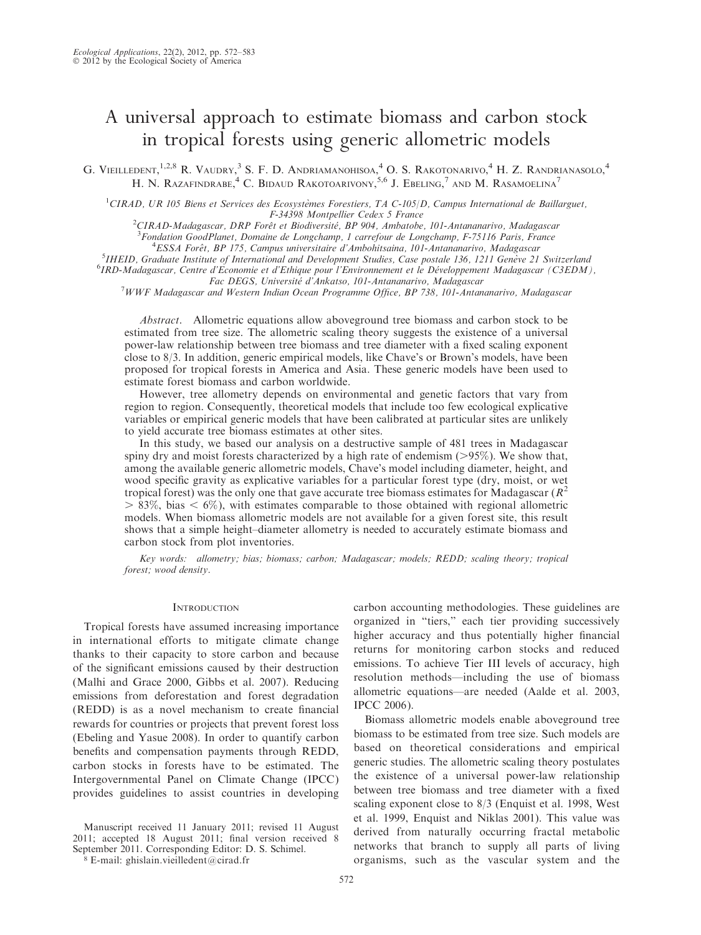# A universal approach to estimate biomass and carbon stock in tropical forests using generic allometric models

G. VIEILLEDENT, <sup>1,2,8</sup> R. VAUDRY, <sup>3</sup> S. F. D. ANDRIAMANOHISOA, <sup>4</sup> O. S. RAKOTONARIVO, <sup>4</sup> H. Z. RANDRIANASOLO, <sup>4</sup> H. N. RAZAFINDRABE, $^4$  C. Bidaud Rakotoarivony, $^{5,6}$  J. Ebeling, $^7$  and M. Rasamoelina $^7$ 

<sup>1</sup>CIRAD, UR 105 Biens et Services des Ecosystèmes Forestiers, TA C-105/D, Campus International de Baillarguet, F-34398 Montpellier Cedex 5 France<br><sup>2</sup>CIRAD Madagascar, DRR Forât at Biodiversité, RR 904, Ambatobe

CIRAD-Madagascar, DRP Forêt et Biodiversité, BP 904, Ambatobe, 101-Antananarivo, Madagascar<br><sup>3</sup> Fondation GoodPlanet, Domaine de Longchamp, Learnafour de Longchamp, F.75116 Paris, France Fondation GoodPlanet, Domaine de Longchamp, 1 carrefour de Longchamp, F-75116 Paris, France <sup>4</sup>

 ${}^{4}ESSA$  Forêt, BP 175, Campus universitaire d'Ambohitsaina, 101-Antananarivo, Madagascar

 ${}^{5}$ IHEID, Graduate Institute of International and Development Studies, Case postale 136, 1211 Genève 21 Switzerland

<sup>6</sup>IRD-Madagascar, Centre d'Economie et d'Ethique pour l'Environnement et le Développement Madagascar (C3EDM),

Fac DEGS, Université d'Ankatso, 101-Antananarivo, Madagascar

 $N^7WWF$  Madagascar and Western Indian Ocean Programme Office, BP 738, 101-Antananarivo, Madagascar

Abstract. Allometric equations allow aboveground tree biomass and carbon stock to be estimated from tree size. The allometric scaling theory suggests the existence of a universal power-law relationship between tree biomass and tree diameter with a fixed scaling exponent close to 8/3. In addition, generic empirical models, like Chave's or Brown's models, have been proposed for tropical forests in America and Asia. These generic models have been used to estimate forest biomass and carbon worldwide.

However, tree allometry depends on environmental and genetic factors that vary from region to region. Consequently, theoretical models that include too few ecological explicative variables or empirical generic models that have been calibrated at particular sites are unlikely to yield accurate tree biomass estimates at other sites.

In this study, we based our analysis on a destructive sample of 481 trees in Madagascar spiny dry and moist forests characterized by a high rate of endemism  $(>95\%)$ . We show that, among the available generic allometric models, Chave's model including diameter, height, and wood specific gravity as explicative variables for a particular forest type (dry, moist, or wet tropical forest) was the only one that gave accurate tree biomass estimates for Madagascar ( $R^2$ )  $> 83\%$ , bias  $< 6\%$ ), with estimates comparable to those obtained with regional allometric models. When biomass allometric models are not available for a given forest site, this result shows that a simple height–diameter allometry is needed to accurately estimate biomass and carbon stock from plot inventories.

Key words: allometry; bias; biomass; carbon; Madagascar; models; REDD; scaling theory; tropical forest; wood density.

#### **INTRODUCTION**

Tropical forests have assumed increasing importance in international efforts to mitigate climate change thanks to their capacity to store carbon and because of the significant emissions caused by their destruction (Malhi and Grace 2000, Gibbs et al. 2007). Reducing emissions from deforestation and forest degradation (REDD) is as a novel mechanism to create financial rewards for countries or projects that prevent forest loss (Ebeling and Yasue 2008). In order to quantify carbon benefits and compensation payments through REDD, carbon stocks in forests have to be estimated. The Intergovernmental Panel on Climate Change (IPCC) provides guidelines to assist countries in developing

Manuscript received 11 January 2011; revised 11 August 2011; accepted 18 August 2011; final version received 8 September 2011. Corresponding Editor: D. S. Schimel.

carbon accounting methodologies. These guidelines are organized in ''tiers,'' each tier providing successively higher accuracy and thus potentially higher financial returns for monitoring carbon stocks and reduced emissions. To achieve Tier III levels of accuracy, high resolution methods—including the use of biomass allometric equations—are needed (Aalde et al. 2003, IPCC 2006).

Biomass allometric models enable aboveground tree biomass to be estimated from tree size. Such models are based on theoretical considerations and empirical generic studies. The allometric scaling theory postulates the existence of a universal power-law relationship between tree biomass and tree diameter with a fixed scaling exponent close to 8/3 (Enquist et al. 1998, West et al. 1999, Enquist and Niklas 2001). This value was derived from naturally occurring fractal metabolic networks that branch to supply all parts of living organisms, such as the vascular system and the

 $8$  E-mail: ghislain.vieilledent@cirad.fr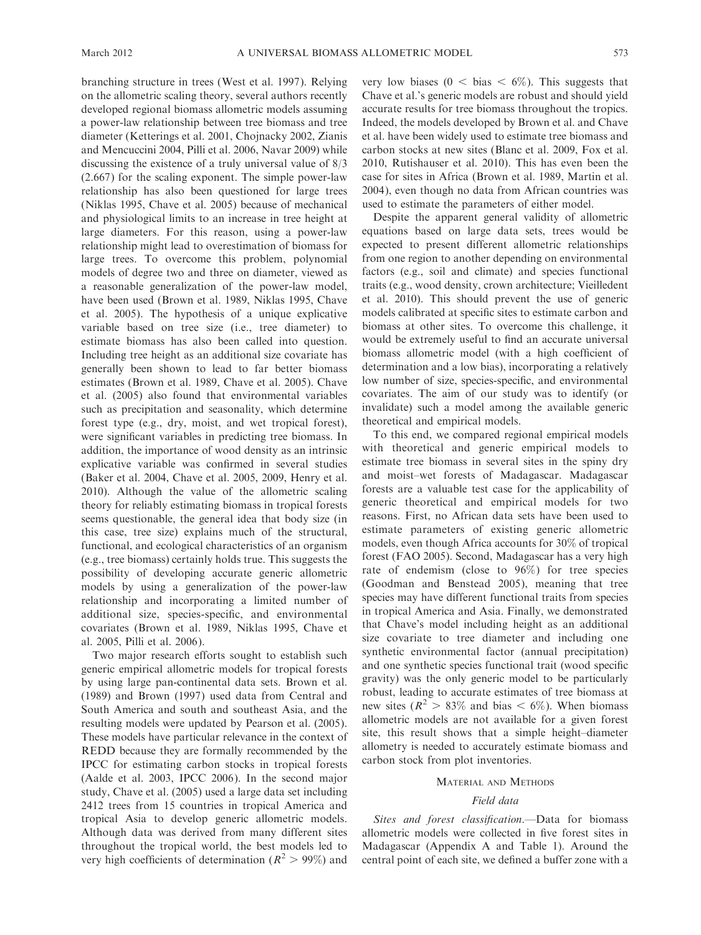branching structure in trees (West et al. 1997). Relying on the allometric scaling theory, several authors recently developed regional biomass allometric models assuming a power-law relationship between tree biomass and tree diameter (Ketterings et al. 2001, Chojnacky 2002, Zianis and Mencuccini 2004, Pilli et al. 2006, Navar 2009) while discussing the existence of a truly universal value of 8/3 (2.667) for the scaling exponent. The simple power-law relationship has also been questioned for large trees (Niklas 1995, Chave et al. 2005) because of mechanical and physiological limits to an increase in tree height at large diameters. For this reason, using a power-law relationship might lead to overestimation of biomass for large trees. To overcome this problem, polynomial models of degree two and three on diameter, viewed as a reasonable generalization of the power-law model, have been used (Brown et al. 1989, Niklas 1995, Chave et al. 2005). The hypothesis of a unique explicative variable based on tree size (i.e., tree diameter) to estimate biomass has also been called into question. Including tree height as an additional size covariate has generally been shown to lead to far better biomass estimates (Brown et al. 1989, Chave et al. 2005). Chave et al. (2005) also found that environmental variables such as precipitation and seasonality, which determine forest type (e.g., dry, moist, and wet tropical forest), were significant variables in predicting tree biomass. In addition, the importance of wood density as an intrinsic explicative variable was confirmed in several studies (Baker et al. 2004, Chave et al. 2005, 2009, Henry et al. 2010). Although the value of the allometric scaling theory for reliably estimating biomass in tropical forests seems questionable, the general idea that body size (in this case, tree size) explains much of the structural, functional, and ecological characteristics of an organism (e.g., tree biomass) certainly holds true. This suggests the possibility of developing accurate generic allometric models by using a generalization of the power-law relationship and incorporating a limited number of additional size, species-specific, and environmental covariates (Brown et al. 1989, Niklas 1995, Chave et al. 2005, Pilli et al. 2006).

Two major research efforts sought to establish such generic empirical allometric models for tropical forests by using large pan-continental data sets. Brown et al. (1989) and Brown (1997) used data from Central and South America and south and southeast Asia, and the resulting models were updated by Pearson et al. (2005). These models have particular relevance in the context of REDD because they are formally recommended by the IPCC for estimating carbon stocks in tropical forests (Aalde et al. 2003, IPCC 2006). In the second major study, Chave et al. (2005) used a large data set including 2412 trees from 15 countries in tropical America and tropical Asia to develop generic allometric models. Although data was derived from many different sites throughout the tropical world, the best models led to very high coefficients of determination ( $R^2 > 99\%$ ) and very low biases ( $0 < \text{bias} < 6\%$ ). This suggests that Chave et al.'s generic models are robust and should yield accurate results for tree biomass throughout the tropics. Indeed, the models developed by Brown et al. and Chave et al. have been widely used to estimate tree biomass and carbon stocks at new sites (Blanc et al. 2009, Fox et al. 2010, Rutishauser et al. 2010). This has even been the case for sites in Africa (Brown et al. 1989, Martin et al. 2004), even though no data from African countries was used to estimate the parameters of either model.

Despite the apparent general validity of allometric equations based on large data sets, trees would be expected to present different allometric relationships from one region to another depending on environmental factors (e.g., soil and climate) and species functional traits (e.g., wood density, crown architecture; Vieilledent et al. 2010). This should prevent the use of generic models calibrated at specific sites to estimate carbon and biomass at other sites. To overcome this challenge, it would be extremely useful to find an accurate universal biomass allometric model (with a high coefficient of determination and a low bias), incorporating a relatively low number of size, species-specific, and environmental covariates. The aim of our study was to identify (or invalidate) such a model among the available generic theoretical and empirical models.

To this end, we compared regional empirical models with theoretical and generic empirical models to estimate tree biomass in several sites in the spiny dry and moist–wet forests of Madagascar. Madagascar forests are a valuable test case for the applicability of generic theoretical and empirical models for two reasons. First, no African data sets have been used to estimate parameters of existing generic allometric models, even though Africa accounts for 30% of tropical forest (FAO 2005). Second, Madagascar has a very high rate of endemism (close to 96%) for tree species (Goodman and Benstead 2005), meaning that tree species may have different functional traits from species in tropical America and Asia. Finally, we demonstrated that Chave's model including height as an additional size covariate to tree diameter and including one synthetic environmental factor (annual precipitation) and one synthetic species functional trait (wood specific gravity) was the only generic model to be particularly robust, leading to accurate estimates of tree biomass at new sites ( $R^2 > 83\%$  and bias  $\lt 6\%$ ). When biomass allometric models are not available for a given forest site, this result shows that a simple height–diameter allometry is needed to accurately estimate biomass and carbon stock from plot inventories.

#### MATERIAL AND METHODS

## Field data

Sites and forest classification.—Data for biomass allometric models were collected in five forest sites in Madagascar (Appendix A and Table 1). Around the central point of each site, we defined a buffer zone with a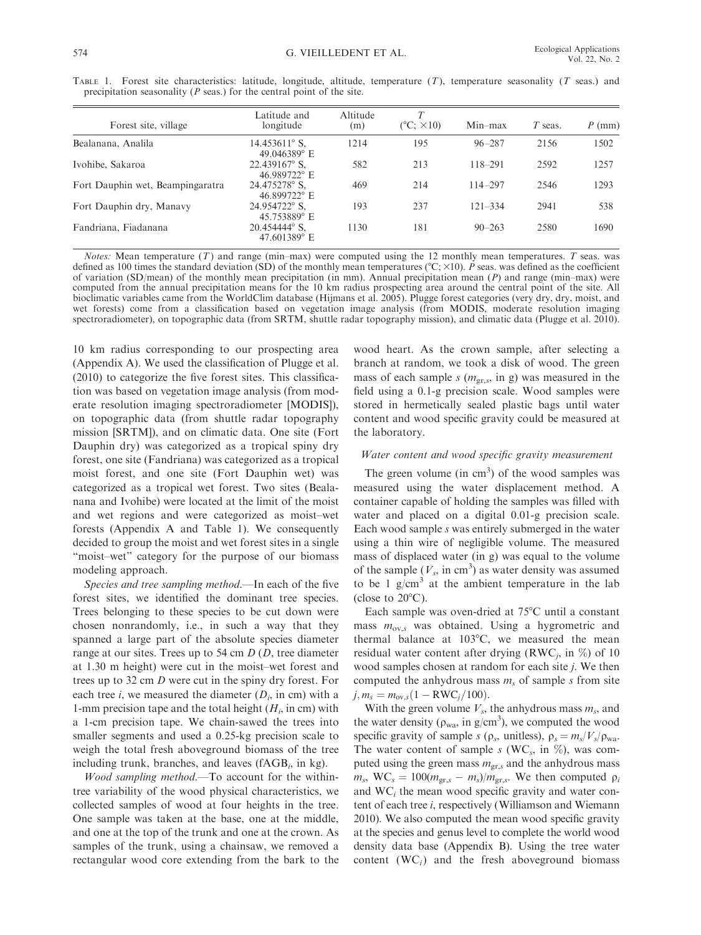| Forest site, village             | Latitude and<br>longitude              | Altitude<br>(m) | T<br>$(^{\circ}C$ ; $\times 10)$ | $Min-max$   | $T$ seas. | $P$ (mm) |
|----------------------------------|----------------------------------------|-----------------|----------------------------------|-------------|-----------|----------|
| Bealanana, Analila               | $14.453611^{\circ}$ S.<br>49.046389° E | 1214            | 195                              | $96 - 287$  | 2156      | 1502     |
| Ivohibe, Sakaroa                 | 22.439167° S.<br>46.989722° E          | 582             | 213                              | $118 - 291$ | 2592      | 1257     |
| Fort Dauphin wet, Beampingaratra | 24.475278° S.<br>46.899722° E          | 469             | 214                              | $114 - 297$ | 2546      | 1293     |
| Fort Dauphin dry, Manavy         | 24.954722° S.<br>45.753889° E          | 193             | 237                              | $121 - 334$ | 2941      | 538      |
| Fandriana, Fiadanana             | $20.454444$ ° S.<br>47.601389° E       | 1130            | 181                              | $90 - 263$  | 2580      | 1690     |

TABLE 1. Forest site characteristics: latitude, longitude, altitude, temperature  $(T)$ , temperature seasonality  $(T \text{ seas})$  and precipitation seasonality ( $P$  seas.) for the central point of the site.

Notes: Mean temperature  $(T)$  and range (min–max) were computed using the 12 monthly mean temperatures.  $T$  seas. was defined as 100 times the standard deviation (SD) of the monthly mean temperatures ( $\degree C$ ;  $\times$ 10). P seas. was defined as the coefficient of variation  $(SD/mean)$  of the monthly mean precipitation (in mm). Annual precipitation mean  $(P)$  and range (min–max) were computed from the annual precipitation means for the 10 km radius prospecting area around the central point of the site. All bioclimatic variables came from the WorldClim database (Hijmans et al. 2005). Plugge forest categories (very dry, dry, moist, and wet forests) come from a classification based on vegetation image analysis (from MODIS, moderate resolution imaging spectroradiometer), on topographic data (from SRTM, shuttle radar topography mission), and climatic data (Plugge et al. 2010).

10 km radius corresponding to our prospecting area (Appendix A). We used the classification of Plugge et al. (2010) to categorize the five forest sites. This classification was based on vegetation image analysis (from moderate resolution imaging spectroradiometer [MODIS]), on topographic data (from shuttle radar topography mission [SRTM]), and on climatic data. One site (Fort Dauphin dry) was categorized as a tropical spiny dry forest, one site (Fandriana) was categorized as a tropical moist forest, and one site (Fort Dauphin wet) was categorized as a tropical wet forest. Two sites (Bealanana and Ivohibe) were located at the limit of the moist and wet regions and were categorized as moist–wet forests (Appendix A and Table 1). We consequently decided to group the moist and wet forest sites in a single ''moist–wet'' category for the purpose of our biomass modeling approach.

Species and tree sampling method.—In each of the five forest sites, we identified the dominant tree species. Trees belonging to these species to be cut down were chosen nonrandomly, i.e., in such a way that they spanned a large part of the absolute species diameter range at our sites. Trees up to 54 cm  $D(D)$ , tree diameter at 1.30 m height) were cut in the moist–wet forest and trees up to 32 cm D were cut in the spiny dry forest. For each tree *i*, we measured the diameter  $(D_i, \text{in cm})$  with a 1-mm precision tape and the total height  $(H<sub>i</sub>, in cm)$  with a 1-cm precision tape. We chain-sawed the trees into smaller segments and used a 0.25-kg precision scale to weigh the total fresh aboveground biomass of the tree including trunk, branches, and leaves ( $fAGB_i$ , in kg).

Wood sampling method.—To account for the withintree variability of the wood physical characteristics, we collected samples of wood at four heights in the tree. One sample was taken at the base, one at the middle, and one at the top of the trunk and one at the crown. As samples of the trunk, using a chainsaw, we removed a rectangular wood core extending from the bark to the wood heart. As the crown sample, after selecting a branch at random, we took a disk of wood. The green mass of each sample s ( $m_{gr,s}$ , in g) was measured in the field using a 0.1-g precision scale. Wood samples were stored in hermetically sealed plastic bags until water content and wood specific gravity could be measured at the laboratory.

## Water content and wood specific gravity measurement

The green volume (in  $cm<sup>3</sup>$ ) of the wood samples was measured using the water displacement method. A container capable of holding the samples was filled with water and placed on a digital 0.01-g precision scale. Each wood sample s was entirely submerged in the water using a thin wire of negligible volume. The measured mass of displaced water (in g) was equal to the volume of the sample  $(V_s$ , in cm<sup>3</sup>) as water density was assumed to be 1  $g/cm<sup>3</sup>$  at the ambient temperature in the lab (close to  $20^{\circ}$ C).

Each sample was oven-dried at  $75^{\circ}$ C until a constant mass  $m_{\text{ov},s}$  was obtained. Using a hygrometric and thermal balance at  $103^{\circ}$ C, we measured the mean residual water content after drying (RWC<sub>i</sub>, in  $\%$ ) of 10 wood samples chosen at random for each site j. We then computed the anhydrous mass  $m<sub>s</sub>$  of sample s from site  $j, m_s = m_{\text{ov},s}(1 - \text{RWC}_j/100).$ 

With the green volume  $V_s$ , the anhydrous mass  $m_s$ , and the water density ( $\rho_{wa}$ , in g/cm<sup>3</sup>), we computed the wood specific gravity of sample s ( $\rho_s$ , unitless),  $\rho_s = m_s/V_s/\rho_{\text{wa}}$ . The water content of sample s (WC<sub>s</sub>, in  $\%$ ), was computed using the green mass  $m_{\text{gr,s}}$  and the anhydrous mass  $m_s$ ,  $WC_s = 100(m_{gr,s} - m_s)/m_{gr,s}$ . We then computed  $\rho_i$ and  $WC<sub>i</sub>$  the mean wood specific gravity and water content of each tree i, respectively (Williamson and Wiemann 2010). We also computed the mean wood specific gravity at the species and genus level to complete the world wood density data base (Appendix B). Using the tree water content  $(WC_i)$  and the fresh aboveground biomass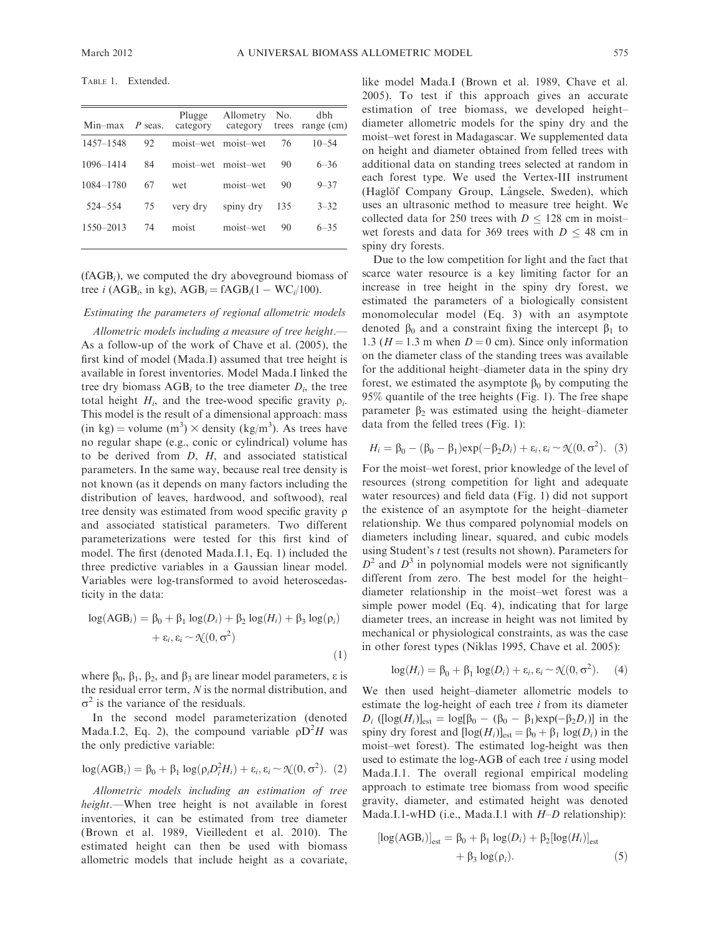TABLE 1. Extended.

| Plugge<br>Allometry<br>No.<br>Min-max $P$ seas.<br>category<br>category<br>trees range (cm)<br>1457-1548<br>92<br>moist-wet moist-wet<br>76<br>1096-1414<br>84<br>moist-wet moist-wet<br>90<br>1084-1780<br>67<br>moist-wet<br>90<br>wet<br>$524 - 554$<br>75<br>spiny dry<br>very dry<br>135<br>$1550 - 2013$<br>74<br>moist<br>moist-wet<br>90 |  |  |           |  |
|--------------------------------------------------------------------------------------------------------------------------------------------------------------------------------------------------------------------------------------------------------------------------------------------------------------------------------------------------|--|--|-----------|--|
|                                                                                                                                                                                                                                                                                                                                                  |  |  | dbh       |  |
|                                                                                                                                                                                                                                                                                                                                                  |  |  | $10 - 54$ |  |
|                                                                                                                                                                                                                                                                                                                                                  |  |  | $6 - 36$  |  |
|                                                                                                                                                                                                                                                                                                                                                  |  |  | $9 - 37$  |  |
|                                                                                                                                                                                                                                                                                                                                                  |  |  | $3 - 32$  |  |
|                                                                                                                                                                                                                                                                                                                                                  |  |  | $6 - 35$  |  |

 $(fAGB<sub>i</sub>)$ , we computed the dry aboveground biomass of tree *i* (AGB<sub>i</sub>, in kg), AGB<sub>i</sub> = fAGB<sub>i</sub>(1 – WC<sub>i</sub>/100).

## Estimating the parameters of regional allometric models

Allometric models including a measure of tree height.— As a follow-up of the work of Chave et al. (2005), the first kind of model (Mada.I) assumed that tree height is available in forest inventories. Model Mada.I linked the tree dry biomass  $AGB_i$  to the tree diameter  $D_i$ , the tree total height  $H_i$ , and the tree-wood specific gravity  $\rho_i$ . This model is the result of a dimensional approach: mass  $(in \text{ kg}) = volume (m^3) \times density (kg/m^3)$ . As trees have no regular shape (e.g., conic or cylindrical) volume has to be derived from  $D$ ,  $H$ , and associated statistical parameters. In the same way, because real tree density is not known (as it depends on many factors including the distribution of leaves, hardwood, and softwood), real tree density was estimated from wood specific gravity q and associated statistical parameters. Two different parameterizations were tested for this first kind of model. The first (denoted Mada.I.1, Eq. 1) included the three predictive variables in a Gaussian linear model. Variables were log-transformed to avoid heteroscedasticity in the data:

$$
log(AGBi) = \beta_0 + \beta_1 log(Di) + \beta_2 log(Hi) + \beta_3 log(\rhoi) + \varepsiloni, \varepsiloni ~ \mathcal{N}(0, \sigma2)
$$
\n(1)

where  $\beta_0$ ,  $\beta_1$ ,  $\beta_2$ , and  $\beta_3$  are linear model parameters,  $\varepsilon$  is the residual error term, N is the normal distribution, and  $\sigma^2$  is the variance of the residuals.

In the second model parameterization (denoted Mada.I.2, Eq. 2), the compound variable  $\rho D^2 H$  was the only predictive variable:

$$
\log(\text{AGB}_i) = \beta_0 + \beta_1 \log(\rho_i D_i^2 H_i) + \varepsilon_i, \varepsilon_i \sim \mathcal{N}(0, \sigma^2). (2)
$$

Allometric models including an estimation of tree height.—When tree height is not available in forest inventories, it can be estimated from tree diameter (Brown et al. 1989, Vieilledent et al. 2010). The estimated height can then be used with biomass allometric models that include height as a covariate, like model Mada.I (Brown et al. 1989, Chave et al. 2005). To test if this approach gives an accurate estimation of tree biomass, we developed height– diameter allometric models for the spiny dry and the moist–wet forest in Madagascar. We supplemented data on height and diameter obtained from felled trees with additional data on standing trees selected at random in each forest type. We used the Vertex-III instrument (Haglöf Company Group, Långsele, Sweden), which uses an ultrasonic method to measure tree height. We collected data for 250 trees with  $D < 128$  cm in moist– wet forests and data for 369 trees with  $D \leq 48$  cm in spiny dry forests.

Due to the low competition for light and the fact that scarce water resource is a key limiting factor for an increase in tree height in the spiny dry forest, we estimated the parameters of a biologically consistent monomolecular model (Eq. 3) with an asymptote denoted  $\beta_0$  and a constraint fixing the intercept  $\beta_1$  to 1.3 ( $H = 1.3$  m when  $D = 0$  cm). Since only information on the diameter class of the standing trees was available for the additional height–diameter data in the spiny dry forest, we estimated the asymptote  $\beta_0$  by computing the 95% quantile of the tree heights (Fig. 1). The free shape parameter  $\beta_2$  was estimated using the height–diameter data from the felled trees (Fig. 1):

$$
H_i = \beta_0 - (\beta_0 - \beta_1) \exp(-\beta_2 D_i) + \varepsilon_i, \varepsilon_i \sim \mathcal{N}(0, \sigma^2).
$$
 (3)

For the moist–wet forest, prior knowledge of the level of resources (strong competition for light and adequate water resources) and field data (Fig. 1) did not support the existence of an asymptote for the height–diameter relationship. We thus compared polynomial models on diameters including linear, squared, and cubic models using Student's t test (results not shown). Parameters for  $D^2$  and  $D^3$  in polynomial models were not significantly different from zero. The best model for the height– diameter relationship in the moist–wet forest was a simple power model (Eq. 4), indicating that for large diameter trees, an increase in height was not limited by mechanical or physiological constraints, as was the case in other forest types (Niklas 1995, Chave et al. 2005):

$$
\log(H_i) = \beta_0 + \beta_1 \log(D_i) + \varepsilon_i, \varepsilon_i \sim \mathcal{N}(0, \sigma^2). \tag{4}
$$

We then used height–diameter allometric models to estimate the log-height of each tree i from its diameter  $D_i$  ([log(H<sub>i</sub>)]<sub>est</sub> = log[ $\beta_0 - (\beta_0 - \beta_1)exp(-\beta_2 D_i)$ ] in the spiny dry forest and  $[\log(H_i)]_{est} = \beta_0 + \beta_1 \log(D_i)$  in the moist–wet forest). The estimated log-height was then used to estimate the  $log-AGB$  of each tree i using model Mada.I.1. The overall regional empirical modeling approach to estimate tree biomass from wood specific gravity, diameter, and estimated height was denoted Mada.I.1-wHD (i.e., Mada.I.1 with H–D relationship):

$$
[log(AGBi)]est = \beta0 + \beta1 log(Di) + \beta2 [log(Hi)]est
$$
  
+  $\beta3 log(pi).$  (5)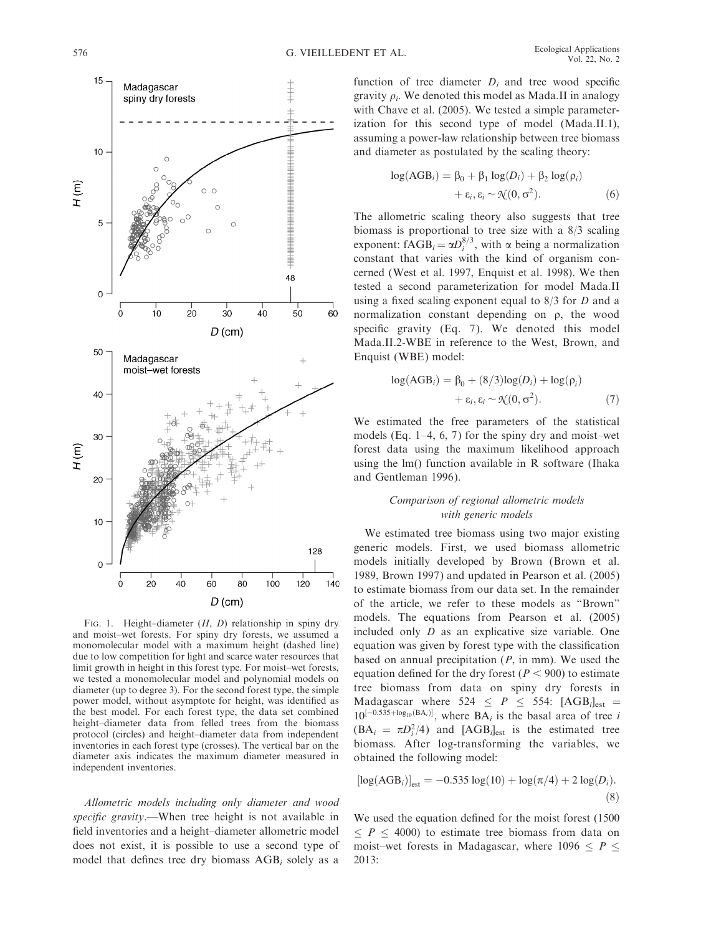

FIG. 1. Height–diameter  $(H, D)$  relationship in spiny dry and moist–wet forests. For spiny dry forests, we assumed a monomolecular model with a maximum height (dashed line) due to low competition for light and scarce water resources that limit growth in height in this forest type. For moist–wet forests, we tested a monomolecular model and polynomial models on diameter (up to degree 3). For the second forest type, the simple power model, without asymptote for height, was identified as the best model. For each forest type, the data set combined height–diameter data from felled trees from the biomass protocol (circles) and height–diameter data from independent inventories in each forest type (crosses). The vertical bar on the diameter axis indicates the maximum diameter measured in independent inventories.

Allometric models including only diameter and wood specific gravity.—When tree height is not available in field inventories and a height–diameter allometric model does not exist, it is possible to use a second type of model that defines tree dry biomass  $AGB_i$  solely as a

function of tree diameter  $D_i$  and tree wood specific gravity  $\rho_i$ . We denoted this model as Mada.II in analogy with Chave et al. (2005). We tested a simple parameterization for this second type of model (Mada.II.1), assuming a power-law relationship between tree biomass and diameter as postulated by the scaling theory:

$$
log(AGBi) = \beta_0 + \beta_1 log(Di) + \beta_2 log(\rho_i)
$$
  
+  $\varepsilon_i$ ,  $\varepsilon_i \sim \mathcal{N}(0, \sigma^2)$ . (6)

The allometric scaling theory also suggests that tree biomass is proportional to tree size with a 8/3 scaling exponent:  $fAGB_i = \alpha D_i^{8/3}$ , with  $\alpha$  being a normalization constant that varies with the kind of organism concerned (West et al. 1997, Enquist et al. 1998). We then tested a second parameterization for model Mada.II using a fixed scaling exponent equal to  $8/3$  for D and a normalization constant depending on q, the wood specific gravity (Eq. 7). We denoted this model Mada.II.2-WBE in reference to the West, Brown, and Enquist (WBE) model:

$$
log(AGBi) = \beta_0 + (8/3)log(Di) + log(\rhoi)
$$
  
+  $\varepsilon_i$ ,  $\varepsilon_i \sim \mathcal{N}(0, \sigma^2)$ . (7)

We estimated the free parameters of the statistical models (Eq. 1–4, 6, 7) for the spiny dry and moist–wet forest data using the maximum likelihood approach using the lm() function available in R software (Ihaka and Gentleman 1996).

# Comparison of regional allometric models with generic models

We estimated tree biomass using two major existing generic models. First, we used biomass allometric models initially developed by Brown (Brown et al. 1989, Brown 1997) and updated in Pearson et al. (2005) to estimate biomass from our data set. In the remainder of the article, we refer to these models as ''Brown'' models. The equations from Pearson et al. (2005) included only D as an explicative size variable. One equation was given by forest type with the classification based on annual precipitation  $(P, \text{ in mm})$ . We used the equation defined for the dry forest ( $P < 900$ ) to estimate tree biomass from data on spiny dry forests in Madagascar where  $524 \leq P \leq 554$ : [AGB<sub>ilest</sub> =  $10^{[-0.535 + \log_{10}(BA_i)]}$ , where BA<sub>i</sub> is the basal area of tree i  $(BA_i = \pi D_i^2/4)$  and  $[AGB_i]_{est}$  is the estimated tree biomass. After log-transforming the variables, we obtained the following model:

$$
[log(AGBi)]est = -0.535 log(10) + log(\pi/4) + 2 log(Di).
$$
\n(8)

We used the equation defined for the moist forest (1500  $\leq P \leq 4000$  to estimate tree biomass from data on moist–wet forests in Madagascar, where  $1096 \leq P \leq$ 2013: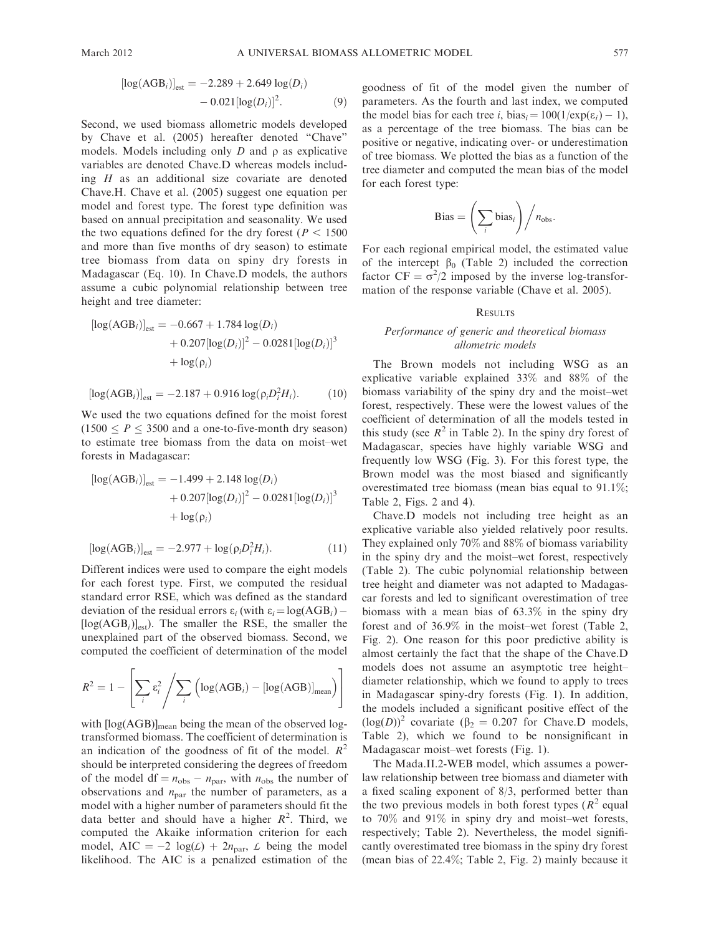$$
[log(AGBi)]est = -2.289 + 2.649 log(Di)- 0.021 [log(Di)]2.
$$
 (9)

Second, we used biomass allometric models developed by Chave et al. (2005) hereafter denoted ''Chave'' models. Models including only  $D$  and  $\rho$  as explicative variables are denoted Chave.D whereas models including  $H$  as an additional size covariate are denoted Chave.H. Chave et al. (2005) suggest one equation per model and forest type. The forest type definition was based on annual precipitation and seasonality. We used the two equations defined for the dry forest ( $P < 1500$ ) and more than five months of dry season) to estimate tree biomass from data on spiny dry forests in Madagascar (Eq. 10). In Chave.D models, the authors assume a cubic polynomial relationship between tree height and tree diameter:

$$
[log(AGBi)]est = -0.667 + 1.784 log(Di)+ 0.207 [log(Di)]2 - 0.0281 [log(Di)]3+ log(pi)
$$

$$
[log(AGBi)]est = -2.187 + 0.916 log(piDi2Hi).
$$
 (10)

We used the two equations defined for the moist forest  $(1500 < P < 3500$  and a one-to-five-month dry season) to estimate tree biomass from the data on moist–wet forests in Madagascar:

$$
[log(AGBi)]est = -1.499 + 2.148 log(Di)+ 0.207 [log(Di)]2 - 0.0281 [log(Di)]3+ log(pi)
$$

$$
[log(AGBi)]est = -2.977 + log(piDi2Hi).
$$
 (11)

Different indices were used to compare the eight models for each forest type. First, we computed the residual standard error RSE, which was defined as the standard deviation of the residual errors  $\varepsilon_i$  (with  $\varepsilon_i = \log(\text{AGB}_i)$  –  $[log(AGB<sub>i</sub>)]<sub>est</sub>$ ). The smaller the RSE, the smaller the unexplained part of the observed biomass. Second, we computed the coefficient of determination of the model

$$
R^{2} = 1 - \left[ \sum_{i} \varepsilon_{i}^{2} / \sum_{i} \left( \log(AGB_{i}) - [\log(AGB)]_{\text{mean}} \right) \right]
$$

with  $[log(AGB)]_{mean}$  being the mean of the observed logtransformed biomass. The coefficient of determination is an indication of the goodness of fit of the model.  $R^2$ should be interpreted considering the degrees of freedom of the model df =  $n_{\text{obs}} - n_{\text{par}}$ , with  $n_{\text{obs}}$  the number of observations and  $n_{\text{par}}$  the number of parameters, as a model with a higher number of parameters should fit the data better and should have a higher  $R^2$ . Third, we computed the Akaike information criterion for each model, AIC =  $-2 \log(L) + 2n_{\text{par}}$ ,  $L$  being the model likelihood. The AIC is a penalized estimation of the goodness of fit of the model given the number of parameters. As the fourth and last index, we computed the model bias for each tree *i*, bias<sub>*i*</sub> =  $100(1/\exp(\epsilon_i) - 1)$ , as a percentage of the tree biomass. The bias can be positive or negative, indicating over- or underestimation of tree biomass. We plotted the bias as a function of the tree diameter and computed the mean bias of the model for each forest type:

$$
\text{Bias} = \left(\sum_i \text{bias}_i\right) / n_{\text{obs}}.
$$

For each regional empirical model, the estimated value of the intercept  $\beta_0$  (Table 2) included the correction factor  $CF = \sigma^2/2$  imposed by the inverse log-transformation of the response variable (Chave et al. 2005).

# RESULTS

# Performance of generic and theoretical biomass allometric models

The Brown models not including WSG as an explicative variable explained 33% and 88% of the biomass variability of the spiny dry and the moist–wet forest, respectively. These were the lowest values of the coefficient of determination of all the models tested in this study (see  $R^2$  in Table 2). In the spiny dry forest of Madagascar, species have highly variable WSG and frequently low WSG (Fig. 3). For this forest type, the Brown model was the most biased and significantly overestimated tree biomass (mean bias equal to 91.1%; Table 2, Figs. 2 and 4).

Chave.D models not including tree height as an explicative variable also yielded relatively poor results. They explained only 70% and 88% of biomass variability in the spiny dry and the moist–wet forest, respectively (Table 2). The cubic polynomial relationship between tree height and diameter was not adapted to Madagascar forests and led to significant overestimation of tree biomass with a mean bias of 63.3% in the spiny dry forest and of 36.9% in the moist–wet forest (Table 2, Fig. 2). One reason for this poor predictive ability is almost certainly the fact that the shape of the Chave.D models does not assume an asymptotic tree height– diameter relationship, which we found to apply to trees in Madagascar spiny-dry forests (Fig. 1). In addition, the models included a significant positive effect of the  $(log(D))^2$  covariate ( $\beta_2 = 0.207$  for Chave.D models, Table 2), which we found to be nonsignificant in Madagascar moist–wet forests (Fig. 1).

The Mada.II.2-WEB model, which assumes a powerlaw relationship between tree biomass and diameter with a fixed scaling exponent of 8/3, performed better than the two previous models in both forest types  $(R^2 \text{ equal})$ to 70% and 91% in spiny dry and moist–wet forests, respectively; Table 2). Nevertheless, the model significantly overestimated tree biomass in the spiny dry forest (mean bias of 22.4%; Table 2, Fig. 2) mainly because it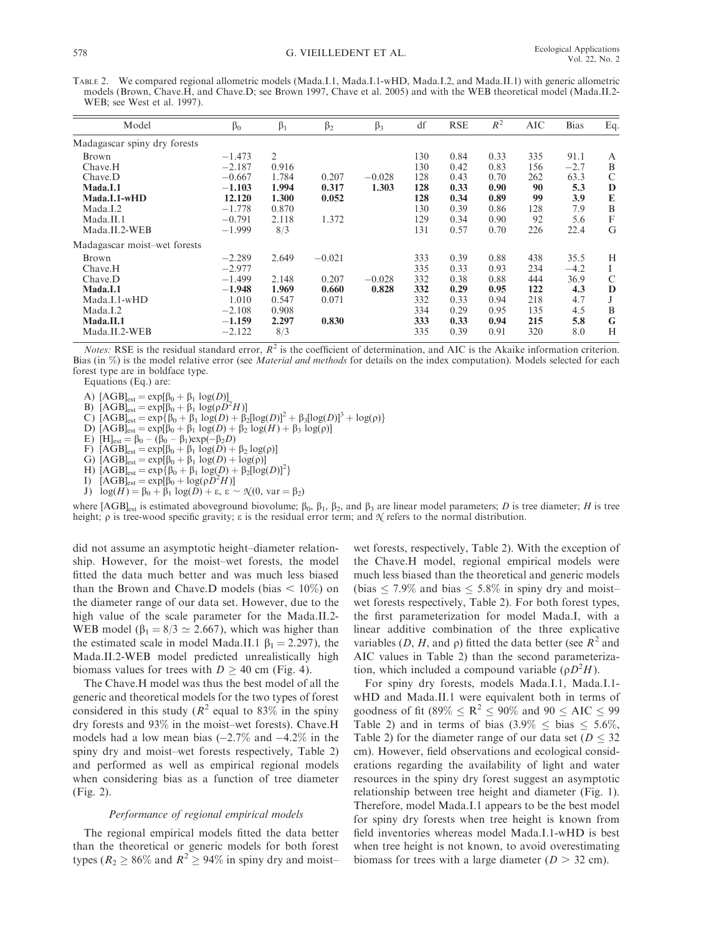TABLE 2. We compared regional allometric models (Mada.I.1, Mada.I.1-wHD, Mada.I.2, and Mada.II.1) with generic allometric models (Brown, Chave.H, and Chave.D; see Brown 1997, Chave et al. 2005) and with the WEB theoretical model (Mada.II.2- WEB; see West et al. 1997).

| Model                        | $\beta_0$ | $\beta_1$      | $\beta_2$ | $\beta_3$ | df  | <b>RSE</b> | $R^2$ | <b>AIC</b> | <b>Bias</b> | Eq.           |
|------------------------------|-----------|----------------|-----------|-----------|-----|------------|-------|------------|-------------|---------------|
| Madagascar spiny dry forests |           |                |           |           |     |            |       |            |             |               |
| Brown                        | $-1.473$  | $\overline{2}$ |           |           | 130 | 0.84       | 0.33  | 335        | 91.1        | A             |
| Chave.H                      | $-2.187$  | 0.916          |           |           | 130 | 0.42       | 0.83  | 156        | $-2.7$      | B             |
| Chave.D                      | $-0.667$  | 1.784          | 0.207     | $-0.028$  | 128 | 0.43       | 0.70  | 262        | 63.3        | $\mathcal{C}$ |
| Mada.I.1                     | $-1.103$  | 1.994          | 0.317     | 1.303     | 128 | 0.33       | 0.90  | 90         | 5.3         | D             |
| Mada.I.1-wHD                 | 12.120    | 1.300          | 0.052     |           | 128 | 0.34       | 0.89  | 99         | 3.9         | E             |
| Mada.I.2                     | $-1.778$  | 0.870          |           |           | 130 | 0.39       | 0.86  | 128        | 7.9         | B             |
| Mada.II.1                    | $-0.791$  | 2.118          | 1.372     |           | 129 | 0.34       | 0.90  | 92         | 5.6         | F             |
| Mada.II.2-WEB                | $-1.999$  | 8/3            |           |           | 131 | 0.57       | 0.70  | 226        | 22.4        | G             |
| Madagascar moist-wet forests |           |                |           |           |     |            |       |            |             |               |
| Brown                        | $-2.289$  | 2.649          | $-0.021$  |           | 333 | 0.39       | 0.88  | 438        | 35.5        | H             |
| Chave.H                      | $-2.977$  |                |           |           | 335 | 0.33       | 0.93  | 234        | $-4.2$      | T             |
| Chave.D                      | $-1.499$  | 2.148          | 0.207     | $-0.028$  | 332 | 0.38       | 0.88  | 444        | 36.9        | C             |
| Mada.I.1                     | $-1.948$  | 1.969          | 0.660     | 0.828     | 332 | 0.29       | 0.95  | 122        | 4.3         | D             |
| Mada.I.1-wHD                 | 1.010     | 0.547          | 0.071     |           | 332 | 0.33       | 0.94  | 218        | 4.7         | J             |
| Mada.I.2                     | $-2.108$  | 0.908          |           |           | 334 | 0.29       | 0.95  | 135        | 4.5         | B             |
| Mada.II.1                    | $-1.159$  | 2.297          | 0.830     |           | 333 | 0.33       | 0.94  | 215        | 5.8         | G             |
| Mada.II.2-WEB                | $-2.122$  | 8/3            |           |           | 335 | 0.39       | 0.91  | 320        | 8.0         | H             |

*Notes:* RSE is the residual standard error,  $R^2$  is the coefficient of determination, and AIC is the Akaike information criterion. Bias (in %) is the model relative error (see *Material and methods* for details on the index computation). Models selected for each forest type are in boldface type.

Equations (Eq.) are:

A)  $[AGB]_{\text{est}} = \exp[\beta_0 + \beta_1 \log(D)]$ 

B)  $[AGB]_{est} = \exp[\beta_0 + \beta_1 \log(\rho \vec{D}^2 H)]$ 

C)  $[AGB]_{est}^{est} = \exp{\{\beta_0 + \beta_1 \log(D) + \beta_2 [\log(D)]^2 + \beta_3 [\log(D)]^3 + \log(p)\}}$ 

D)  $[AGB]_{\text{est}} = \exp[\beta_0 + \beta_1 \log(D) + \beta_2 \log(H) + \beta_3 \log(p)]$ 

E) [H]<sub>est</sub> =  $\beta_0 - (\beta_0 - \beta_1)exp(-\beta_2 D)$ 

F)  $[AGB]_{\text{est}} = \exp[\beta_0 + \beta_1 \log(D) + \beta_2 \log(p)]$ 

G)  $[AGB]_{est} = \exp[\beta_0 + \beta_1 \log(D) + \log(\rho)]$ 

H)  $[AGB]_{est} = exp{\beta_0 + \beta_1 \log(D) + \beta_2 [log(D)]^2}$ I)  $[AGB]_{est} = exp[\beta_0 + log(\rho D^2 H)]$ 

J)  $\log(H) = \beta_0 + \beta_1 \log(D) + \varepsilon$ ,  $\varepsilon \sim \mathcal{N}(0, \text{var} = \beta_2)$ 

where  $[AGB]_{est}$  is estimated aboveground biovolume;  $\beta_0$ ,  $\beta_1$ ,  $\beta_2$ , and  $\beta_3$  are linear model parameters; D is tree diameter; H is tree height;  $\rho$  is tree-wood specific gravity;  $\varepsilon$  is the residual error term; and  $\mathcal N$  refers to the normal distribution.

did not assume an asymptotic height–diameter relationship. However, for the moist–wet forests, the model fitted the data much better and was much less biased than the Brown and Chave.D models (bias  $\lt 10\%$ ) on the diameter range of our data set. However, due to the high value of the scale parameter for the Mada.II.2- WEB model ( $\beta_1 = 8/3 \approx 2.667$ ), which was higher than the estimated scale in model Mada.II.1  $\beta_1 = 2.297$ , the Mada.II.2-WEB model predicted unrealistically high biomass values for trees with  $D > 40$  cm (Fig. 4).

The Chave.H model was thus the best model of all the generic and theoretical models for the two types of forest considered in this study ( $R^2$  equal to 83% in the spiny dry forests and 93% in the moist–wet forests). Chave.H models had a low mean bias  $(-2.7\% \text{ and } -4.2\% \text{ in the}$ spiny dry and moist–wet forests respectively, Table 2) and performed as well as empirical regional models when considering bias as a function of tree diameter (Fig. 2).

## Performance of regional empirical models

The regional empirical models fitted the data better than the theoretical or generic models for both forest types ( $R_2 \ge 86\%$  and  $R^2 \ge 94\%$  in spiny dry and moistwet forests, respectively, Table 2). With the exception of the Chave.H model, regional empirical models were much less biased than the theoretical and generic models (bias  $\leq 7.9\%$  and bias  $\leq 5.8\%$  in spiny dry and moistwet forests respectively, Table 2). For both forest types, the first parameterization for model Mada.I, with a linear additive combination of the three explicative variables (D, H, and  $\rho$ ) fitted the data better (see  $R^2$  and AIC values in Table 2) than the second parameterization, which included a compound variable  $(\rho D^2 H)$ .

For spiny dry forests, models Mada.I.1, Mada.I.1 wHD and Mada.II.1 were equivalent both in terms of goodness of fit (89%  $\leq$  R<sup>2</sup>  $\leq$  90% and 90  $\leq$  AIC  $\leq$  99 Table 2) and in terms of bias  $(3.9\% \leq \text{bias} \leq 5.6\%,$ Table 2) for the diameter range of our data set ( $D \leq 32$ cm). However, field observations and ecological considerations regarding the availability of light and water resources in the spiny dry forest suggest an asymptotic relationship between tree height and diameter (Fig. 1). Therefore, model Mada.I.1 appears to be the best model for spiny dry forests when tree height is known from field inventories whereas model Mada.I.1-wHD is best when tree height is not known, to avoid overestimating biomass for trees with a large diameter ( $D > 32$  cm).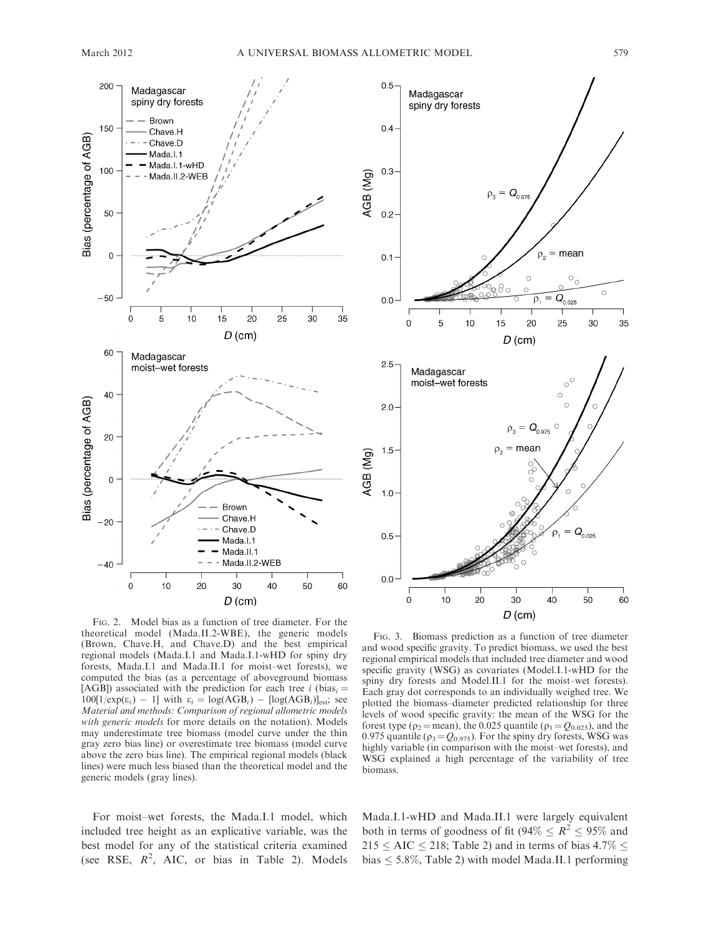

FIG. 2. Model bias as a function of tree diameter. For the theoretical model (Mada.II.2-WBE), the generic models (Brown, Chave.H, and Chave.D) and the best empirical regional models (Mada.I.1 and Mada.I.1-wHD for spiny dry forests, Mada.I.1 and Mada.II.1 for moist–wet forests), we computed the bias (as a percentage of aboveground biomass [AGB]) associated with the prediction for each tree i (bias<sub>i</sub> =  $100[1/\exp(\epsilon_i) - 1]$  with  $\epsilon_i = \log(\text{AGB}_i) - [\log(\text{AGB}_i)]_{\text{est}}$ ; see Material and methods: Comparison of regional allometric models with generic models for more details on the notation). Models may underestimate tree biomass (model curve under the thin gray zero bias line) or overestimate tree biomass (model curve above the zero bias line). The empirical regional models (black lines) were much less biased than the theoretical model and the generic models (gray lines).

For moist–wet forests, the Mada.I.1 model, which included tree height as an explicative variable, was the best model for any of the statistical criteria examined (see RSE,  $R^2$ , AIC, or bias in Table 2). Models



FIG. 3. Biomass prediction as a function of tree diameter and wood specific gravity. To predict biomass, we used the best regional empirical models that included tree diameter and wood specific gravity (WSG) as covariates (Model.I.1-wHD for the spiny dry forests and Model.II.1 for the moist–wet forests). Each gray dot corresponds to an individually weighed tree. We plotted the biomass–diameter predicted relationship for three levels of wood specific gravity: the mean of the WSG for the forest type ( $\rho_2$  = mean), the 0.025 quantile ( $\rho_1 = Q_{0.025}$ ), and the 0.975 quantile ( $\rho_3 = Q_{0.975}$ ). For the spiny dry forests, WSG was highly variable (in comparison with the moist–wet forests), and WSG explained a high percentage of the variability of tree biomass.

Mada.I.1-wHD and Mada.II.1 were largely equivalent both in terms of goodness of fit (94%  $\leq R^2 \leq 95\%$  and  $215 \leq AIC \leq 218$ ; Table 2) and in terms of bias 4.7%  $\leq$ bias  $\leq$  5.8%, Table 2) with model Mada.II.1 performing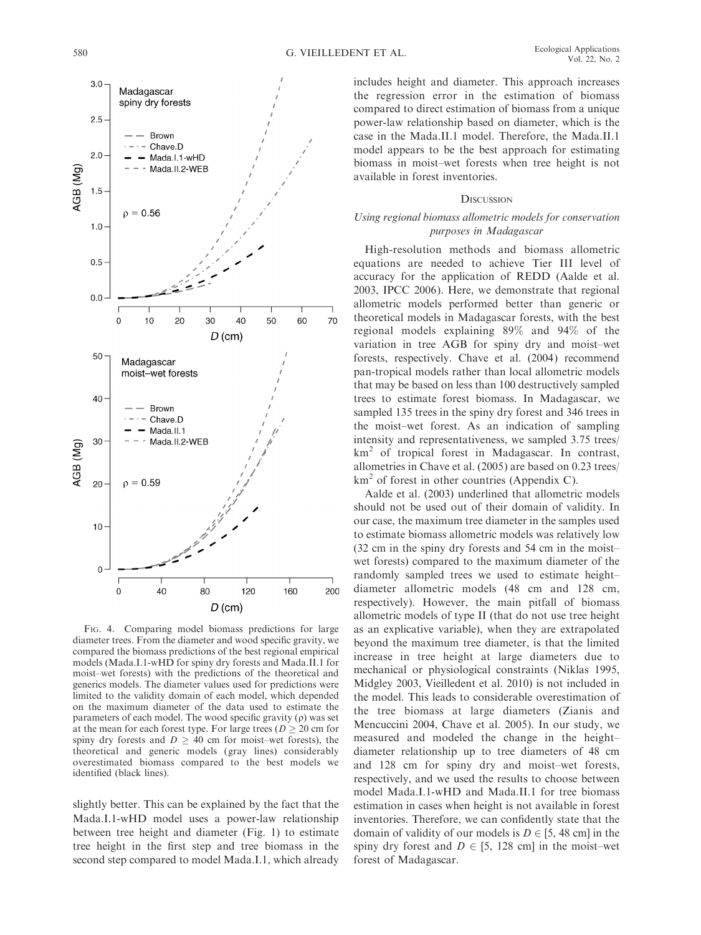

FIG. 4. Comparing model biomass predictions for large diameter trees. From the diameter and wood specific gravity, we compared the biomass predictions of the best regional empirical models (Mada.I.1-wHD for spiny dry forests and Mada.II.1 for moist–wet forests) with the predictions of the theoretical and generics models. The diameter values used for predictions were limited to the validity domain of each model, which depended on the maximum diameter of the data used to estimate the parameters of each model. The wood specific gravity  $(\rho)$  was set at the mean for each forest type. For large trees ( $D \ge 20$  cm for spiny dry forests and  $D \geq 40$  cm for moist–wet forests), the theoretical and generic models (gray lines) considerably overestimated biomass compared to the best models we identified (black lines).

slightly better. This can be explained by the fact that the Mada.I.1-wHD model uses a power-law relationship between tree height and diameter (Fig. 1) to estimate tree height in the first step and tree biomass in the second step compared to model Mada.I.1, which already includes height and diameter. This approach increases the regression error in the estimation of biomass compared to direct estimation of biomass from a unique power-law relationship based on diameter, which is the case in the Mada.II.1 model. Therefore, the Mada.II.1 model appears to be the best approach for estimating biomass in moist–wet forests when tree height is not available in forest inventories.

#### **DISCUSSION**

## Using regional biomass allometric models for conservation purposes in Madagascar

High-resolution methods and biomass allometric equations are needed to achieve Tier III level of accuracy for the application of REDD (Aalde et al. 2003, IPCC 2006). Here, we demonstrate that regional allometric models performed better than generic or theoretical models in Madagascar forests, with the best regional models explaining 89% and 94% of the variation in tree AGB for spiny dry and moist–wet forests, respectively. Chave et al. (2004) recommend pan-tropical models rather than local allometric models that may be based on less than 100 destructively sampled trees to estimate forest biomass. In Madagascar, we sampled 135 trees in the spiny dry forest and 346 trees in the moist–wet forest. As an indication of sampling intensity and representativeness, we sampled 3.75 trees/ km2 of tropical forest in Madagascar. In contrast, allometries in Chave et al. (2005) are based on 0.23 trees/ km<sup>2</sup> of forest in other countries (Appendix C).

Aalde et al. (2003) underlined that allometric models should not be used out of their domain of validity. In our case, the maximum tree diameter in the samples used to estimate biomass allometric models was relatively low (32 cm in the spiny dry forests and 54 cm in the moist– wet forests) compared to the maximum diameter of the randomly sampled trees we used to estimate height– diameter allometric models (48 cm and 128 cm, respectively). However, the main pitfall of biomass allometric models of type II (that do not use tree height as an explicative variable), when they are extrapolated beyond the maximum tree diameter, is that the limited increase in tree height at large diameters due to mechanical or physiological constraints (Niklas 1995, Midgley 2003, Vieilledent et al. 2010) is not included in the model. This leads to considerable overestimation of the tree biomass at large diameters (Zianis and Mencuccini 2004, Chave et al. 2005). In our study, we measured and modeled the change in the height– diameter relationship up to tree diameters of 48 cm and 128 cm for spiny dry and moist–wet forests, respectively, and we used the results to choose between model Mada.I.1-wHD and Mada.II.1 for tree biomass estimation in cases when height is not available in forest inventories. Therefore, we can confidently state that the domain of validity of our models is  $D \in [5, 48 \text{ cm}]$  in the spiny dry forest and  $D \in [5, 128 \text{ cm}]$  in the moist–wet forest of Madagascar.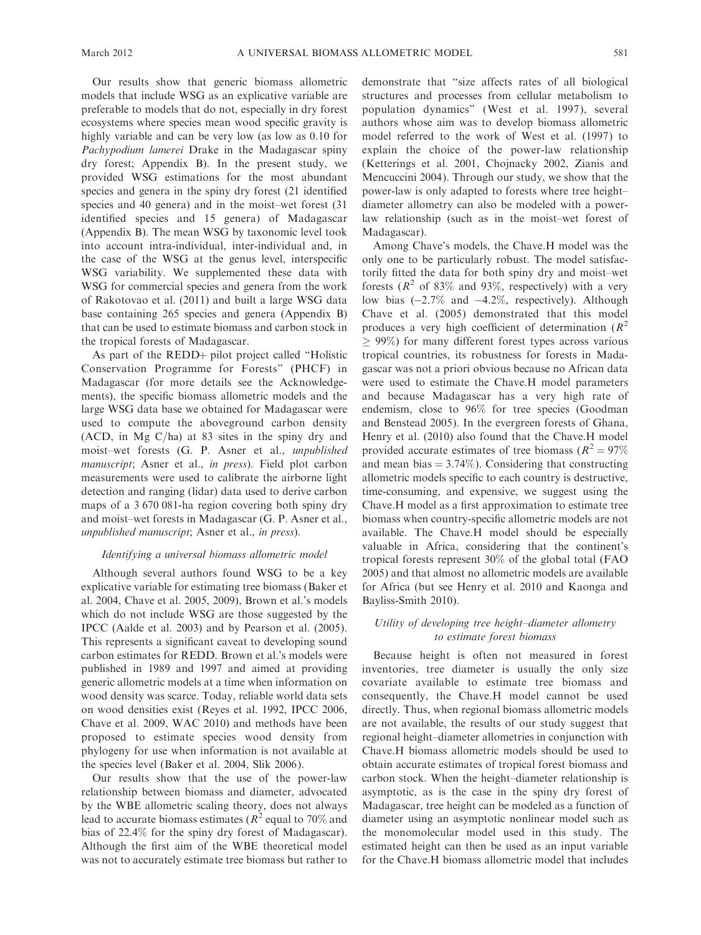Our results show that generic biomass allometric models that include WSG as an explicative variable are preferable to models that do not, especially in dry forest ecosystems where species mean wood specific gravity is highly variable and can be very low (as low as 0.10 for Pachypodium lamerei Drake in the Madagascar spiny dry forest; Appendix B). In the present study, we provided WSG estimations for the most abundant species and genera in the spiny dry forest (21 identified species and 40 genera) and in the moist–wet forest (31 identified species and 15 genera) of Madagascar (Appendix B). The mean WSG by taxonomic level took into account intra-individual, inter-individual and, in the case of the WSG at the genus level, interspecific WSG variability. We supplemented these data with WSG for commercial species and genera from the work of Rakotovao et al. (2011) and built a large WSG data base containing 265 species and genera (Appendix B) that can be used to estimate biomass and carbon stock in the tropical forests of Madagascar.

As part of the REDD+ pilot project called "Holistic Conservation Programme for Forests'' (PHCF) in Madagascar (for more details see the Acknowledgements), the specific biomass allometric models and the large WSG data base we obtained for Madagascar were used to compute the aboveground carbon density (ACD, in Mg  $C/ha$ ) at 83 sites in the spiny dry and moist–wet forests (G. P. Asner et al., unpublished manuscript; Asner et al., in press). Field plot carbon measurements were used to calibrate the airborne light detection and ranging (lidar) data used to derive carbon maps of a 3 670 081-ha region covering both spiny dry and moist–wet forests in Madagascar (G. P. Asner et al., unpublished manuscript; Asner et al., in press).

#### Identifying a universal biomass allometric model

Although several authors found WSG to be a key explicative variable for estimating tree biomass (Baker et al. 2004, Chave et al. 2005, 2009), Brown et al.'s models which do not include WSG are those suggested by the IPCC (Aalde et al. 2003) and by Pearson et al. (2005). This represents a significant caveat to developing sound carbon estimates for REDD. Brown et al.'s models were published in 1989 and 1997 and aimed at providing generic allometric models at a time when information on wood density was scarce. Today, reliable world data sets on wood densities exist (Reyes et al. 1992, IPCC 2006, Chave et al. 2009, WAC 2010) and methods have been proposed to estimate species wood density from phylogeny for use when information is not available at the species level (Baker et al. 2004, Slik 2006).

Our results show that the use of the power-law relationship between biomass and diameter, advocated by the WBE allometric scaling theory, does not always lead to accurate biomass estimates ( $R^2$  equal to 70% and bias of 22.4% for the spiny dry forest of Madagascar). Although the first aim of the WBE theoretical model was not to accurately estimate tree biomass but rather to demonstrate that ''size affects rates of all biological structures and processes from cellular metabolism to population dynamics'' (West et al. 1997), several authors whose aim was to develop biomass allometric model referred to the work of West et al. (1997) to explain the choice of the power-law relationship (Ketterings et al. 2001, Chojnacky 2002, Zianis and Mencuccini 2004). Through our study, we show that the power-law is only adapted to forests where tree height– diameter allometry can also be modeled with a powerlaw relationship (such as in the moist–wet forest of Madagascar).

Among Chave's models, the Chave.H model was the only one to be particularly robust. The model satisfactorily fitted the data for both spiny dry and moist–wet forests ( $R^2$  of 83% and 93%, respectively) with a very low bias (-2.7% and -4.2%, respectively). Although Chave et al. (2005) demonstrated that this model produces a very high coefficient of determination  $(R^2)$  99%) for many different forest types across various tropical countries, its robustness for forests in Madagascar was not a priori obvious because no African data were used to estimate the Chave.H model parameters and because Madagascar has a very high rate of endemism, close to 96% for tree species (Goodman and Benstead 2005). In the evergreen forests of Ghana, Henry et al. (2010) also found that the Chave.H model provided accurate estimates of tree biomass ( $R^2 = 97\%$ ) and mean bias  $= 3.74\%$ ). Considering that constructing allometric models specific to each country is destructive, time-consuming, and expensive, we suggest using the Chave.H model as a first approximation to estimate tree biomass when country-specific allometric models are not available. The Chave.H model should be especially valuable in Africa, considering that the continent's tropical forests represent 30% of the global total (FAO 2005) and that almost no allometric models are available for Africa (but see Henry et al. 2010 and Kaonga and Bayliss-Smith 2010).

## Utility of developing tree height–diameter allometry to estimate forest biomass

Because height is often not measured in forest inventories, tree diameter is usually the only size covariate available to estimate tree biomass and consequently, the Chave.H model cannot be used directly. Thus, when regional biomass allometric models are not available, the results of our study suggest that regional height–diameter allometries in conjunction with Chave.H biomass allometric models should be used to obtain accurate estimates of tropical forest biomass and carbon stock. When the height–diameter relationship is asymptotic, as is the case in the spiny dry forest of Madagascar, tree height can be modeled as a function of diameter using an asymptotic nonlinear model such as the monomolecular model used in this study. The estimated height can then be used as an input variable for the Chave.H biomass allometric model that includes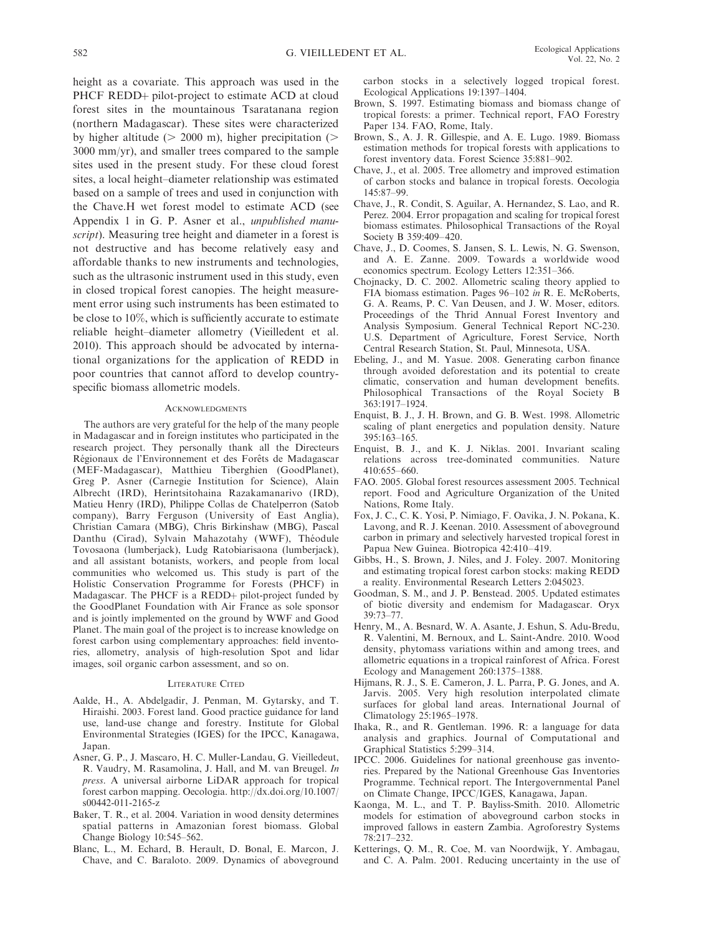height as a covariate. This approach was used in the PHCF REDD+ pilot-project to estimate ACD at cloud forest sites in the mountainous Tsaratanana region (northern Madagascar). These sites were characterized by higher altitude ( $> 2000$  m), higher precipitation ( $>$ 3000 mm/yr), and smaller trees compared to the sample sites used in the present study. For these cloud forest sites, a local height–diameter relationship was estimated based on a sample of trees and used in conjunction with the Chave.H wet forest model to estimate ACD (see Appendix 1 in G. P. Asner et al., unpublished manuscript). Measuring tree height and diameter in a forest is not destructive and has become relatively easy and affordable thanks to new instruments and technologies, such as the ultrasonic instrument used in this study, even in closed tropical forest canopies. The height measurement error using such instruments has been estimated to be close to 10%, which is sufficiently accurate to estimate reliable height–diameter allometry (Vieilledent et al. 2010). This approach should be advocated by international organizations for the application of REDD in poor countries that cannot afford to develop countryspecific biomass allometric models.

#### **ACKNOWLEDGMENTS**

The authors are very grateful for the help of the many people in Madagascar and in foreign institutes who participated in the research project. They personally thank all the Directeurs Régionaux de l'Environnement et des Forêts de Madagascar (MEF-Madagascar), Matthieu Tiberghien (GoodPlanet), Greg P. Asner (Carnegie Institution for Science), Alain Albrecht (IRD), Herintsitohaina Razakamanarivo (IRD), Matieu Henry (IRD), Philippe Collas de Chatelperron (Satob company), Barry Ferguson (University of East Anglia), Christian Camara (MBG), Chris Birkinshaw (MBG), Pascal Danthu (Cirad), Sylvain Mahazotahy (WWF), Théodule Tovosaona (lumberjack), Ludg Ratobiarisaona (lumberjack), and all assistant botanists, workers, and people from local communities who welcomed us. This study is part of the Holistic Conservation Programme for Forests (PHCF) in Madagascar. The PHCF is a REDD+ pilot-project funded by the GoodPlanet Foundation with Air France as sole sponsor and is jointly implemented on the ground by WWF and Good Planet. The main goal of the project is to increase knowledge on forest carbon using complementary approaches: field inventories, allometry, analysis of high-resolution Spot and lidar images, soil organic carbon assessment, and so on.

#### LITERATURE CITED

- Aalde, H., A. Abdelgadir, J. Penman, M. Gytarsky, and T. Hiraishi. 2003. Forest land. Good practice guidance for land use, land-use change and forestry. Institute for Global Environmental Strategies (IGES) for the IPCC, Kanagawa, Japan.
- Asner, G. P., J. Mascaro, H. C. Muller-Landau, G. Vieilledeut, R. Vaudry, M. Rasamolina, J. Hall, and M. van Breugel. In press. A universal airborne LiDAR approach for tropical forest carbon mapping. Oecologia. http://dx.doi.org/10.1007/ s00442-011-2165-z
- Baker, T. R., et al. 2004. Variation in wood density determines spatial patterns in Amazonian forest biomass. Global Change Biology 10:545–562.
- Blanc, L., M. Echard, B. Herault, D. Bonal, E. Marcon, J. Chave, and C. Baraloto. 2009. Dynamics of aboveground

carbon stocks in a selectively logged tropical forest. Ecological Applications 19:1397–1404.

- Brown, S. 1997. Estimating biomass and biomass change of tropical forests: a primer. Technical report, FAO Forestry Paper 134. FAO, Rome, Italy.
- Brown, S., A. J. R. Gillespie, and A. E. Lugo. 1989. Biomass estimation methods for tropical forests with applications to forest inventory data. Forest Science 35:881–902.
- Chave, J., et al. 2005. Tree allometry and improved estimation of carbon stocks and balance in tropical forests. Oecologia 145:87–99.
- Chave, J., R. Condit, S. Aguilar, A. Hernandez, S. Lao, and R. Perez. 2004. Error propagation and scaling for tropical forest biomass estimates. Philosophical Transactions of the Royal Society B 359:409–420.
- Chave, J., D. Coomes, S. Jansen, S. L. Lewis, N. G. Swenson, and A. E. Zanne. 2009. Towards a worldwide wood economics spectrum. Ecology Letters 12:351–366.
- Chojnacky, D. C. 2002. Allometric scaling theory applied to FIA biomass estimation. Pages 96–102 in R. E. McRoberts, G. A. Reams, P. C. Van Deusen, and J. W. Moser, editors. Proceedings of the Thrid Annual Forest Inventory and Analysis Symposium. General Technical Report NC-230. U.S. Department of Agriculture, Forest Service, North Central Research Station, St. Paul, Minnesota, USA.
- Ebeling, J., and M. Yasue. 2008. Generating carbon finance through avoided deforestation and its potential to create climatic, conservation and human development benefits. Philosophical Transactions of the Royal Society B 363:1917–1924.
- Enquist, B. J., J. H. Brown, and G. B. West. 1998. Allometric scaling of plant energetics and population density. Nature 395:163–165.
- Enquist, B. J., and K. J. Niklas. 2001. Invariant scaling relations across tree-dominated communities. Nature 410:655–660.
- FAO. 2005. Global forest resources assessment 2005. Technical report. Food and Agriculture Organization of the United Nations, Rome Italy.
- Fox, J. C., C. K. Yosi, P. Nimiago, F. Oavika, J. N. Pokana, K. Lavong, and R. J. Keenan. 2010. Assessment of aboveground carbon in primary and selectively harvested tropical forest in Papua New Guinea. Biotropica 42:410–419.
- Gibbs, H., S. Brown, J. Niles, and J. Foley. 2007. Monitoring and estimating tropical forest carbon stocks: making REDD a reality. Environmental Research Letters 2:045023.
- Goodman, S. M., and J. P. Benstead. 2005. Updated estimates of biotic diversity and endemism for Madagascar. Oryx 39:73–77.
- Henry, M., A. Besnard, W. A. Asante, J. Eshun, S. Adu-Bredu, R. Valentini, M. Bernoux, and L. Saint-Andre. 2010. Wood density, phytomass variations within and among trees, and allometric equations in a tropical rainforest of Africa. Forest Ecology and Management 260:1375–1388.
- Hijmans, R. J., S. E. Cameron, J. L. Parra, P. G. Jones, and A. Jarvis. 2005. Very high resolution interpolated climate surfaces for global land areas. International Journal of Climatology 25:1965–1978.
- Ihaka, R., and R. Gentleman. 1996. R: a language for data analysis and graphics. Journal of Computational and Graphical Statistics 5:299–314.
- IPCC. 2006. Guidelines for national greenhouse gas inventories. Prepared by the National Greenhouse Gas Inventories Programme. Technical report. The Intergovernmental Panel on Climate Change, IPCC/IGES, Kanagawa, Japan.
- Kaonga, M. L., and T. P. Bayliss-Smith. 2010. Allometric models for estimation of aboveground carbon stocks in improved fallows in eastern Zambia. Agroforestry Systems 78:217–232.
- Ketterings, Q. M., R. Coe, M. van Noordwijk, Y. Ambagau, and C. A. Palm. 2001. Reducing uncertainty in the use of